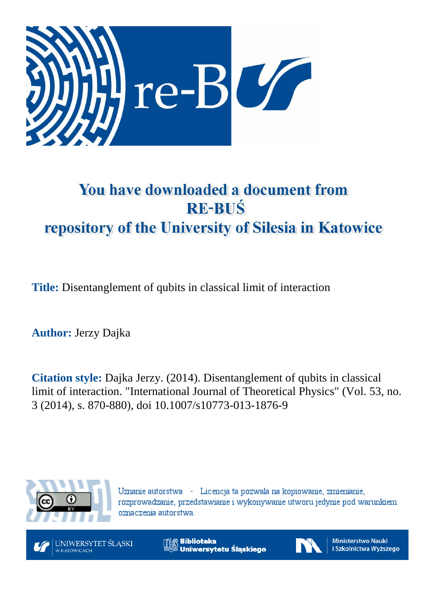

# You have downloaded a document from **RE-BUŚ** repository of the University of Silesia in Katowice

**Title:** Disentanglement of qubits in classical limit of interaction

**Author:** Jerzy Dajka

**Citation style:** Dajka Jerzy. (2014). Disentanglement of qubits in classical limit of interaction. "International Journal of Theoretical Physics" (Vol. 53, no. 3 (2014), s. 870-880), doi 10.1007/s10773-013-1876-9



Uznanie autorstwa - Licencja ta pozwala na kopiowanie, zmienianie, rozprowadzanie, przedstawianie i wykonywanie utworu jedynie pod warunkiem oznaczenia autorstwa.



**Biblioteka** Uniwersytetu Śląskiego



**Ministerstwo Nauki** i Szkolnictwa Wyższego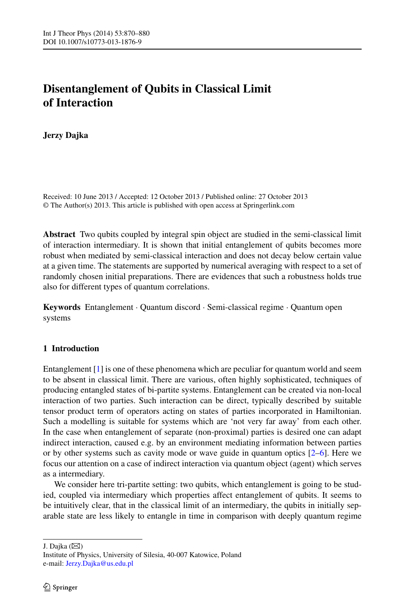# **Disentanglement of Qubits in Classical Limit of Interaction**

# **Jerzy Dajka**

Received: 10 June 2013 / Accepted: 12 October 2013 / Published online: 27 October 2013 © The Author(s) 2013. This article is published with open access at Springerlink.com

**Abstract** Two qubits coupled by integral spin object are studied in the semi-classical limit of interaction intermediary. It is shown that initial entanglement of qubits becomes more robust when mediated by semi-classical interaction and does not decay below certain value at a given time. The statements are supported by numerical averaging with respect to a set of randomly chosen initial preparations. There are evidences that such a robustness holds true also for different types of quantum correlations.

**Keywords** Entanglement · Quantum discord · Semi-classical regime · Quantum open systems

# **1 Introduction**

Entanglement  $[1]$  $[1]$  is one of these phenomena which are peculiar for quantum world and seem to be absent in classical limit. There are various, often highly sophisticated, techniques of producing entangled states of bi-partite systems. Entanglement can be created via non-local interaction of two parties. Such interaction can be direct, typically described by suitable tensor product term of operators acting on states of parties incorporated in Hamiltonian. Such a modelling is suitable for systems which are 'not very far away' from each other. In the case when entanglement of separate (non-proximal) parties is desired one can adapt indirect interaction, caused e.g. by an environment mediating information between parties or by other systems such as cavity mode or wave guide in quantum optics [[2](#page-10-1)[–6\]](#page-10-2). Here we focus our attention on a case of indirect interaction via quantum object (agent) which serves as a intermediary.

We consider here tri-partite setting: two qubits, which entanglement is going to be studied, coupled via intermediary which properties affect entanglement of qubits. It seems to be intuitively clear, that in the classical limit of an intermediary, the qubits in initially separable state are less likely to entangle in time in comparison with deeply quantum regime

J. Dajka (B)

Institute of Physics, University of Silesia, 40-007 Katowice, Poland e-mail: [Jerzy.Dajka@us.edu.pl](mailto:Jerzy.Dajka@us.edu.pl)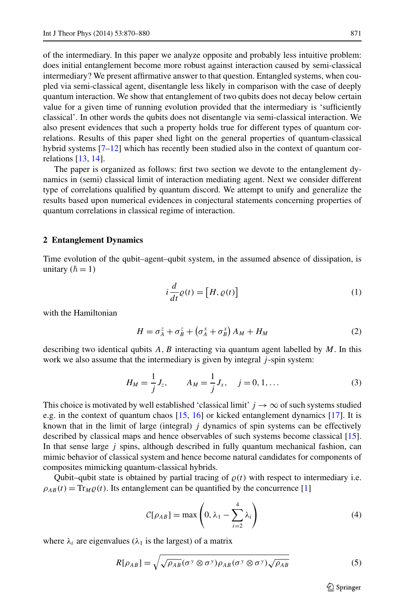of the intermediary. In this paper we analyze opposite and probably less intuitive problem: does initial entanglement become more robust against interaction caused by semi-classical intermediary? We present affirmative answer to that question. Entangled systems, when coupled via semi-classical agent, disentangle less likely in comparison with the case of deeply quantum interaction. We show that entanglement of two qubits does not decay below certain value for a given time of running evolution provided that the intermediary is 'sufficiently classical'. In other words the qubits does not disentangle via semi-classical interaction. We also present evidences that such a property holds true for different types of quantum correlations. Results of this paper shed light on the general properties of quantum-classical hybrid systems [[7–](#page-10-3)[12\]](#page-10-4) which has recently been studied also in the context of quantum correlations [[13](#page-11-0), [14\]](#page-11-1).

The paper is organized as follows: first two section we devote to the entanglement dynamics in (semi) classical limit of interaction mediating agent. Next we consider different type of correlations qualified by quantum discord. We attempt to unify and generalize the results based upon numerical evidences in conjectural statements concerning properties of quantum correlations in classical regime of interaction.

#### <span id="page-2-1"></span><span id="page-2-0"></span>**2 Entanglement Dynamics**

Time evolution of the qubit–agent–qubit system, in the assumed absence of dissipation, is unitary  $(\hbar = 1)$ 

$$
i\frac{d}{dt}\varrho(t) = [H, \varrho(t)]
$$
 (1)

with the Hamiltonian

$$
H = \sigma_A^z + \sigma_B^z + \left(\sigma_A^x + \sigma_B^x\right)A_M + H_M \tag{2}
$$

describing two identical qubits *A,B* interacting via quantum agent labelled by *M*. In this work we also assume that the intermediary is given by integral *j* -spin system:

$$
H_M = \frac{1}{j} J_z, \qquad A_M = \frac{1}{j} J_x, \quad j = 0, 1, \dots
$$
 (3)

<span id="page-2-2"></span>This choice is motivated by well established 'classical limit'  $j \rightarrow \infty$  of such systems studied e.g. in the context of quantum chaos [[15](#page-11-2), [16\]](#page-11-3) or kicked entanglement dynamics [\[17\]](#page-11-4). It is known that in the limit of large (integral) *j* dynamics of spin systems can be effectively described by classical maps and hence observables of such systems become classical [[15](#page-11-2)]. In that sense large *j* spins, although described in fully quantum mechanical fashion, can mimic behavior of classical system and hence become natural candidates for components of composites mimicking quantum-classical hybrids.

Qubit–qubit state is obtained by partial tracing of  $\rho(t)$  with respect to intermediary i.e.  $\rho_{AB}(t) = \text{Tr}_M \varrho(t)$ . Its entanglement can be quantified by the concurrence [[1\]](#page-10-0)

$$
C[\rho_{AB}] = \max\left(0, \lambda_1 - \sum_{i=2}^4 \lambda_i\right) \tag{4}
$$

where  $\lambda_i$  are eigenvalues ( $\lambda_1$  is the largest) of a matrix

$$
R[\rho_{AB}] = \sqrt{\sqrt{\rho_{AB}}(\sigma^y \otimes \sigma^y) \rho_{AB}(\sigma^y \otimes \sigma^y) \sqrt{\rho_{AB}}}
$$
(5)

 $\mathcal{D}$  Springer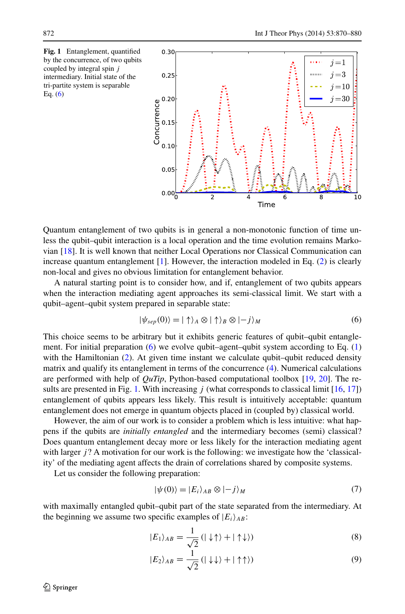<span id="page-3-1"></span>**Fig. 1** Entanglement, quantified by the concurrence, of two qubits coupled by integral spin *j* intermediary. Initial state of the tri-partite system is separable Eq. ([6\)](#page-3-0)



<span id="page-3-0"></span>Quantum entanglement of two qubits is in general a non-monotonic function of time unless the qubit–qubit interaction is a local operation and the time evolution remains Markovian [[18](#page-11-5)]. It is well known that neither Local Operations nor Classical Communication can increase quantum entanglement [\[1](#page-10-0)]. However, the interaction modeled in Eq. [\(2\)](#page-2-0) is clearly non-local and gives no obvious limitation for entanglement behavior.

A natural starting point is to consider how, and if, entanglement of two qubits appears when the interaction mediating agent approaches its semi-classical limit. We start with a qubit–agent–qubit system prepared in separable state:

$$
|\psi_{sep}(0)\rangle = |\uparrow\rangle_A \otimes |\uparrow\rangle_B \otimes |-j\rangle_M
$$
 (6)

This choice seems to be arbitrary but it exhibits generic features of qubit–qubit entanglement. For initial preparation  $(6)$  $(6)$  we evolve qubit–agent–qubit system according to Eq.  $(1)$  $(1)$  $(1)$ with the Hamiltonian [\(2](#page-2-0)). At given time instant we calculate qubit–qubit reduced density matrix and qualify its entanglement in terms of the concurrence [\(4](#page-2-2)). Numerical calculations are performed with help of *QuTip*, Python-based computational toolbox [\[19](#page-11-6), [20](#page-11-7)]. The re-sults are presented in Fig. [1](#page-3-1). With increasing  $j$  (what corresponds to classical limit  $[16, 17]$  $[16, 17]$  $[16, 17]$  $[16, 17]$  $[16, 17]$ ) entanglement of qubits appears less likely. This result is intuitively acceptable: quantum entanglement does not emerge in quantum objects placed in (coupled by) classical world.

<span id="page-3-2"></span>However, the aim of our work is to consider a problem which is less intuitive: what happens if the qubits are *initially entangled* and the intermediary becomes (semi) classical? Does quantum entanglement decay more or less likely for the interaction mediating agent with larger *j*? A motivation for our work is the following: we investigate how the 'classicality' of the mediating agent affects the drain of correlations shared by composite systems.

Let us consider the following preparation:

$$
|\psi(0)\rangle = |E_i\rangle_{AB} \otimes | -j\rangle_M \tag{7}
$$

with maximally entangled qubit–qubit part of the state separated from the intermediary. At the beginning we assume two specific examples of  $|E_i\rangle_{AB}$ :

$$
|E_1\rangle_{AB} = \frac{1}{\sqrt{2}} \left( |\downarrow \uparrow \rangle + |\uparrow \downarrow \rangle \right) \tag{8}
$$

$$
|E_2\rangle_{AB} = \frac{1}{\sqrt{2}} \left( |\downarrow \downarrow \rangle + |\uparrow \uparrow \rangle \right) \tag{9}
$$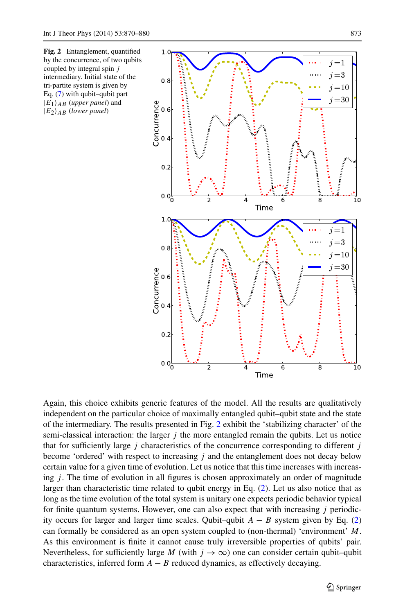<span id="page-4-0"></span>



Again, this choice exhibits generic features of the model. All the results are qualitatively independent on the particular choice of maximally entangled qubit–qubit state and the state of the intermediary. The results presented in Fig. [2](#page-4-0) exhibit the 'stabilizing character' of the semi-classical interaction: the larger *j* the more entangled remain the qubits. Let us notice that for sufficiently large *j* characteristics of the concurrence corresponding to different *j* become 'ordered' with respect to increasing *j* and the entanglement does not decay below certain value for a given time of evolution. Let us notice that this time increases with increasing *j* . The time of evolution in all figures is chosen approximately an order of magnitude larger than characteristic time related to qubit energy in Eq. [\(2\)](#page-2-0). Let us also notice that as long as the time evolution of the total system is unitary one expects periodic behavior typical for finite quantum systems. However, one can also expect that with increasing *j* periodicity occurs for larger and larger time scales. Qubit–qubit  $A - B$  system given by Eq. ([2](#page-2-0)) can formally be considered as an open system coupled to (non-thermal) 'environment' *M*. As this environment is finite it cannot cause truly irreversible properties of qubits' pair. Nevertheless, for sufficiently large *M* (with  $j \rightarrow \infty$ ) one can consider certain qubit–qubit characteristics, inferred form  $A - B$  reduced dynamics, as effectively decaying.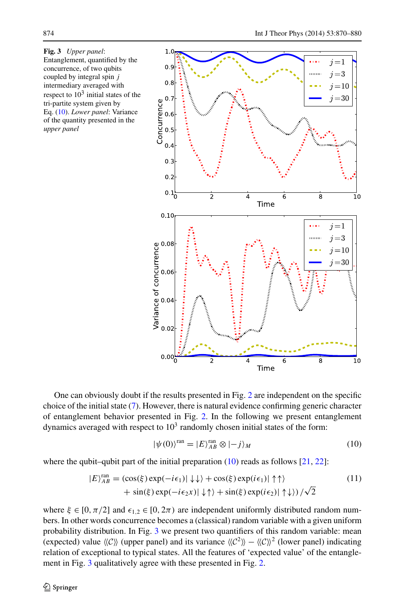<span id="page-5-1"></span>**Fig. 3** *Upper panel*: Entanglement, quantified by the concurrence, of two qubits coupled by integral spin *j* intermediary averaged with respect to  $10<sup>3</sup>$  initial states of the tri-partite system given by Eq. ([10\)](#page-5-0). *Lower panel*: Variance of the quantity presented in the *upper panel*



<span id="page-5-0"></span>One can obviously doubt if the results presented in Fig. [2](#page-4-0) are independent on the specific choice of the initial state ([7](#page-3-2)). However, there is natural evidence confirming generic character of entanglement behavior presented in Fig. [2](#page-4-0). In the following we present entanglement dynamics averaged with respect to  $10<sup>3</sup>$  randomly chosen initial states of the form:

$$
|\psi(0)\rangle^{\text{ran}} = |E\rangle^{\text{ran}}_{AB} \otimes | -j\rangle_M \tag{10}
$$

where the qubit–qubit part of the initial preparation  $(10)$  $(10)$  $(10)$  reads as follows [[21](#page-11-8), [22\]](#page-11-9):

$$
|E\rangle_{AB}^{\text{ran}} = (\cos(\xi)\exp(-i\epsilon_1)|\downarrow\downarrow\rangle + \cos(\xi)\exp(i\epsilon_1)|\uparrow\uparrow\rangle
$$
  
+ 
$$
\sin(\xi)\exp(-i\epsilon_2 x)|\downarrow\uparrow\rangle + \sin(\xi)\exp(i\epsilon_2)|\uparrow\downarrow\rangle)/\sqrt{2}
$$
 (11)

where  $\xi \in [0, \pi/2]$  and  $\epsilon_{1,2} \in [0, 2\pi)$  are independent uniformly distributed random numbers. In other words concurrence becomes a (classical) random variable with a given uniform probability distribution. In Fig. [3](#page-5-1) we present two quantifiers of this random variable: mean (expected) value  $\langle\langle C\rangle\rangle$  (upper panel) and its variance  $\langle\langle C^2\rangle\rangle - \langle\langle C\rangle\rangle^2$  (lower panel) indicating relation of exceptional to typical states. All the features of 'expected value' of the entangle-ment in Fig. [3](#page-5-1) qualitatively agree with these presented in Fig. [2.](#page-4-0)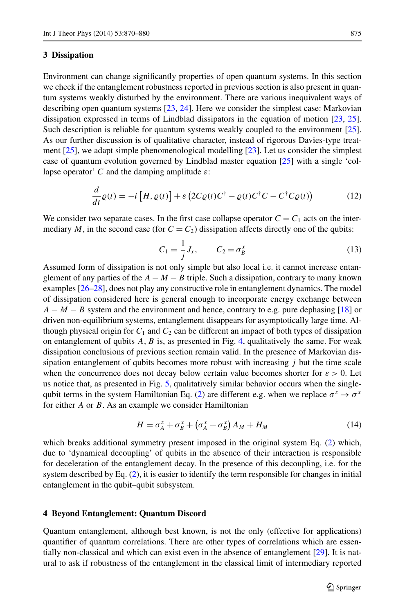## **3 Dissipation**

<span id="page-6-0"></span>Environment can change significantly properties of open quantum systems. In this section we check if the entanglement robustness reported in previous section is also present in quantum systems weakly disturbed by the environment. There are various inequivalent ways of describing open quantum systems [[23](#page-11-10), [24\]](#page-11-11). Here we consider the simplest case: Markovian dissipation expressed in terms of Lindblad dissipators in the equation of motion [[23](#page-11-10), [25](#page-11-12)]. Such description is reliable for quantum systems weakly coupled to the environment [[25](#page-11-12)]. As our further discussion is of qualitative character, instead of rigorous Davies-type treatment  $[25]$ , we adapt simple phenomenological modelling  $[23]$ . Let us consider the simplest case of quantum evolution governed by Lindblad master equation [\[25\]](#page-11-12) with a single 'collapse operator' *C* and the damping amplitude *ε*:

<span id="page-6-1"></span>
$$
\frac{d}{dt}\rho(t) = -i\left[H, \rho(t)\right] + \varepsilon\left(2C\rho(t)C^{\dagger} - \rho(t)C^{\dagger}C - C^{\dagger}C\rho(t)\right) \tag{12}
$$

We consider two separate cases. In the first case collapse operator  $C = C_1$  acts on the intermediary *M*, in the second case (for  $C = C_2$ ) dissipation affects directly one of the qubits:

$$
C_1 = \frac{1}{j} J_x, \qquad C_2 = \sigma_B^x \tag{13}
$$

<span id="page-6-2"></span>Assumed form of dissipation is not only simple but also local i.e. it cannot increase entanglement of any parties of the  $A - M - B$  triple. Such a dissipation, contrary to many known examples [\[26–](#page-11-13)[28](#page-11-14)], does not play any constructive role in entanglement dynamics. The model of dissipation considered here is general enough to incorporate energy exchange between  $A - M - B$  system and the environment and hence, contrary to e.g. pure dephasing [[18](#page-11-5)] or driven non-equilibrium systems, entanglement disappears for asymptotically large time. Although physical origin for  $C_1$  and  $C_2$  can be different an impact of both types of dissipation on entanglement of qubits  $A, B$  is, as presented in Fig. [4,](#page-7-0) qualitatively the same. For weak dissipation conclusions of previous section remain valid. In the presence of Markovian dissipation entanglement of qubits becomes more robust with increasing *j* but the time scale when the concurrence does not decay below certain value becomes shorter for  $\varepsilon > 0$ . Let us notice that, as presented in Fig. [5,](#page-8-0) qualitatively similar behavior occurs when the single-qubit terms in the system Hamiltonian Eq. ([2](#page-2-0)) are different e.g. when we replace  $\sigma^z \to \sigma^x$ for either *A* or *B*. As an example we consider Hamiltonian

$$
H = \sigma_A^z + \sigma_B^x + \left(\sigma_A^x + \sigma_B^x\right)A_M + H_M \tag{14}
$$

which breaks additional symmetry present imposed in the original system Eq. ([2\)](#page-2-0) which, due to 'dynamical decoupling' of qubits in the absence of their interaction is responsible for deceleration of the entanglement decay. In the presence of this decoupling, i.e. for the system described by Eq. [\(2](#page-2-0)), it is easier to identify the term responsible for changes in initial entanglement in the qubit–qubit subsystem.

#### **4 Beyond Entanglement: Quantum Discord**

Quantum entanglement, although best known, is not the only (effective for applications) quantifier of quantum correlations. There are other types of correlations which are essentially non-classical and which can exist even in the absence of entanglement [[29](#page-11-15)]. It is natural to ask if robustness of the entanglement in the classical limit of intermediary reported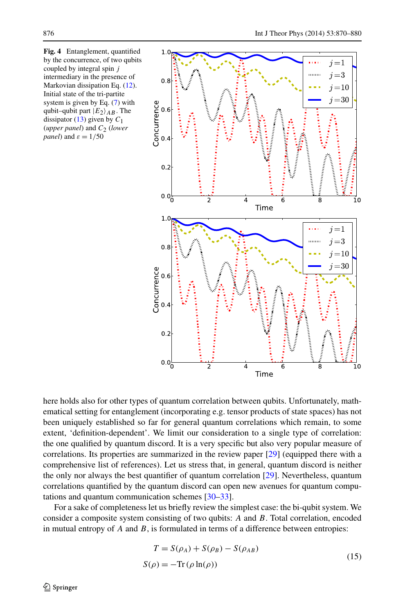<span id="page-7-0"></span>**Fig. 4** Entanglement, quantified by the concurrence, of two qubits coupled by integral spin *j* intermediary in the presence of Markovian dissipation Eq. [\(12](#page-6-0)). Initial state of the tri-partite system is given by Eq. ([7\)](#page-3-2) with qubit–qubit part  $|E_2\rangle_{AB}$ . The dissipator ([13\)](#page-6-1) given by *C*1 (*upper panel*) and *C*2 (*lower panel*) and *ε* = 1*/*50



here holds also for other types of quantum correlation between qubits. Unfortunately, mathematical setting for entanglement (incorporating e.g. tensor products of state spaces) has not been uniquely established so far for general quantum correlations which remain, to some extent, 'definition-dependent'. We limit our consideration to a single type of correlation: the one qualified by quantum discord. It is a very specific but also very popular measure of correlations. Its properties are summarized in the review paper [\[29\]](#page-11-15) (equipped there with a comprehensive list of references). Let us stress that, in general, quantum discord is neither the only nor always the best quantifier of quantum correlation [\[29\]](#page-11-15). Nevertheless, quantum correlations quantified by the quantum discord can open new avenues for quantum computations and quantum communication schemes [[30](#page-11-16)–[33](#page-11-17)].

For a sake of completeness let us briefly review the simplest case: the bi-qubit system. We consider a composite system consisting of two qubits: *A* and *B*. Total correlation, encoded in mutual entropy of *A* and *B*, is formulated in terms of a difference between entropies:

$$
T = S(\rho_A) + S(\rho_B) - S(\rho_{AB})
$$
  
\n
$$
S(\rho) = -\text{Tr}(\rho \ln(\rho))
$$
\n(15)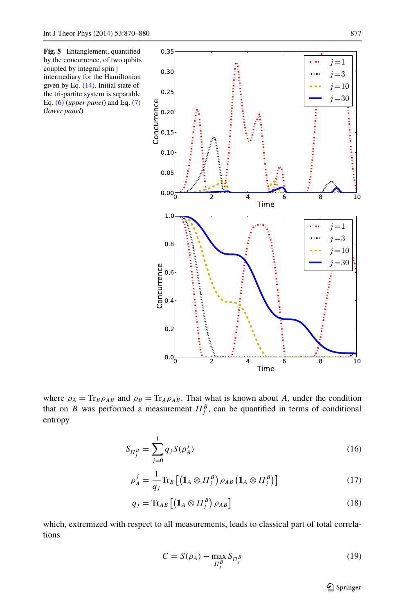<span id="page-8-0"></span>



where  $\rho_A = \text{Tr}_B \rho_{AB}$  and  $\rho_B = \text{Tr}_A \rho_{AB}$ . That what is known about *A*, under the condition that on *B* was performed a measurement  $\Pi_j^B$ , can be quantified in terms of conditional entropy

$$
S_{\Pi_j^B} = \sum_{j=0}^{1} q_j S(\rho_A^j)
$$
 (16)

<span id="page-8-1"></span>
$$
\rho_A^j = \frac{1}{q_j} \text{Tr}_B \left[ \left( \mathbf{1}_A \otimes \Pi_j^B \right) \rho_{AB} \left( \mathbf{1}_A \otimes \Pi_j^B \right) \right] \tag{17}
$$

$$
q_j = \text{Tr}_{AB} \left[ \left( \mathbf{1}_A \otimes \Pi_j^B \right) \rho_{AB} \right] \tag{18}
$$

which, extremized with respect to all measurements, leads to classical part of total correlations

$$
C = S(\rho_A) - \max_{\Pi_j^B} S_{\Pi_j^B}
$$
\n(19)

2 Springer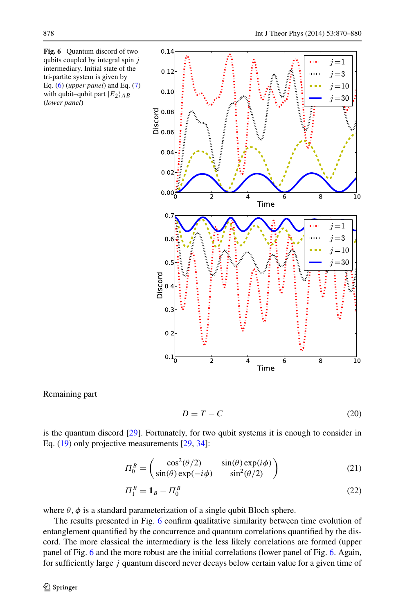<span id="page-9-0"></span>



Remaining part

$$
D = T - C \tag{20}
$$

is the quantum discord [\[29\]](#page-11-15). Fortunately, for two qubit systems it is enough to consider in Eq. [\(19\)](#page-8-1) only projective measurements [[29](#page-11-15), [34\]](#page-11-18):

$$
\Pi_0^B = \begin{pmatrix} \cos^2(\theta/2) & \sin(\theta)\exp(i\phi) \\ \sin(\theta)\exp(-i\phi) & \sin^2(\theta/2) \end{pmatrix}
$$
 (21)

$$
\Pi_1^B = \mathbf{1}_B - \Pi_0^B \tag{22}
$$

where  $\theta$ ,  $\phi$  is a standard parameterization of a single qubit Bloch sphere.

The results presented in Fig. [6](#page-9-0) confirm qualitative similarity between time evolution of entanglement quantified by the concurrence and quantum correlations quantified by the discord. The more classical the intermediary is the less likely correlations are formed (upper panel of Fig. [6](#page-9-0) and the more robust are the initial correlations (lower panel of Fig. 6. Again, for sufficiently large *j* quantum discord never decays below certain value for a given time of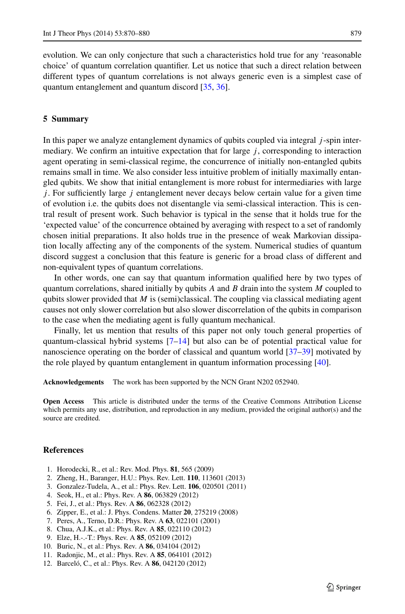evolution. We can only conjecture that such a characteristics hold true for any 'reasonable choice' of quantum correlation quantifier. Let us notice that such a direct relation between different types of quantum correlations is not always generic even is a simplest case of quantum entanglement and quantum discord [[35](#page-11-19), [36](#page-11-20)].

# **5 Summary**

In this paper we analyze entanglement dynamics of qubits coupled via integral *j* -spin intermediary. We confirm an intuitive expectation that for large *j* , corresponding to interaction agent operating in semi-classical regime, the concurrence of initially non-entangled qubits remains small in time. We also consider less intuitive problem of initially maximally entangled qubits. We show that initial entanglement is more robust for intermediaries with large *j* . For sufficiently large *j* entanglement never decays below certain value for a given time of evolution i.e. the qubits does not disentangle via semi-classical interaction. This is central result of present work. Such behavior is typical in the sense that it holds true for the 'expected value' of the concurrence obtained by averaging with respect to a set of randomly chosen initial preparations. It also holds true in the presence of weak Markovian dissipation locally affecting any of the components of the system. Numerical studies of quantum discord suggest a conclusion that this feature is generic for a broad class of different and non-equivalent types of quantum correlations.

In other words, one can say that quantum information qualified here by two types of quantum correlations, shared initially by qubits *A* and *B* drain into the system *M* coupled to qubits slower provided that *M* is (semi)classical. The coupling via classical mediating agent causes not only slower correlation but also slower discorrelation of the qubits in comparison to the case when the mediating agent is fully quantum mechanical.

Finally, let us mention that results of this paper not only touch general properties of quantum-classical hybrid systems  $[7-14]$  $[7-14]$  but also can be of potential practical value for nanoscience operating on the border of classical and quantum world [\[37–](#page-11-21)[39](#page-11-22)] motivated by the role played by quantum entanglement in quantum information processing [\[40\]](#page-11-23).

<span id="page-10-0"></span>**Acknowledgements** The work has been supported by the NCN Grant N202 052940.

<span id="page-10-1"></span>**Open Access** This article is distributed under the terms of the Creative Commons Attribution License which permits any use, distribution, and reproduction in any medium, provided the original author(s) and the source are credited.

### <span id="page-10-3"></span><span id="page-10-2"></span>**References**

- 1. Horodecki, R., et al.: Rev. Mod. Phys. **81**, 565 (2009)
- <span id="page-10-4"></span>2. Zheng, H., Baranger, H.U.: Phys. Rev. Lett. **110**, 113601 (2013)
- 3. Gonzalez-Tudela, A., et al.: Phys. Rev. Lett. **106**, 020501 (2011)
- 4. Seok, H., et al.: Phys. Rev. A **86**, 063829 (2012)
- 5. Fei, J., et al.: Phys. Rev. A **86**, 062328 (2012)
- 6. Zipper, E., et al.: J. Phys. Condens. Matter **20**, 275219 (2008)
- 7. Peres, A., Terno, D.R.: Phys. Rev. A **63**, 022101 (2001)
- 8. Chua, A.J.K., et al.: Phys. Rev. A **85**, 022110 (2012)
- 9. Elze, H.-.-T.: Phys. Rev. A **85**, 052109 (2012)
- 10. Buric, N., et al.: Phys. Rev. A **86**, 034104 (2012)
- 11. Radonjic, M., et al.: Phys. Rev. A **85**, 064101 (2012)
- 12. Barceló, C., et al.: Phys. Rev. A **86**, 042120 (2012)